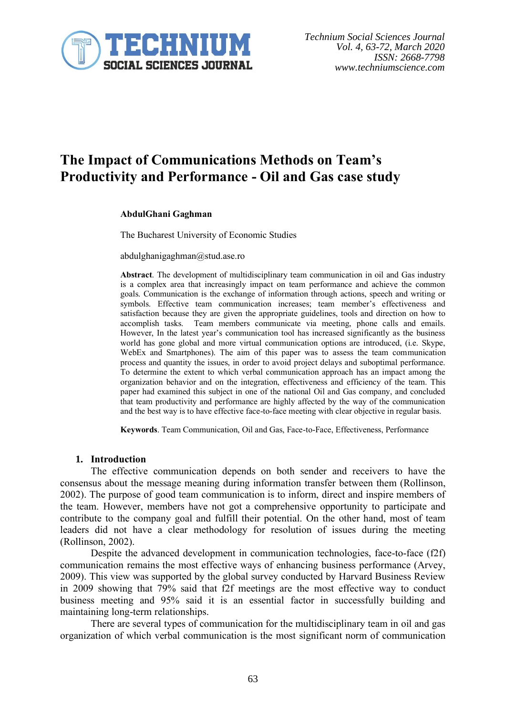

# **The Impact of Communications Methods on Team's Productivity and Performance - Oil and Gas case study**

#### **AbdulGhani Gaghman**

The Bucharest University of Economic Studies

abdulghanigaghman@stud.ase.ro

**Abstract**. The development of multidisciplinary team communication in oil and Gas industry is a complex area that increasingly impact on team performance and achieve the common goals. Communication is the exchange of information through actions, speech and writing or symbols. Effective team communication increases; team member's effectiveness and satisfaction because they are given the appropriate guidelines, tools and direction on how to accomplish tasks. Team members communicate via meeting, phone calls and emails. However, In the latest year's communication tool has increased significantly as the business world has gone global and more virtual communication options are introduced, (i.e. Skype, WebEx and Smartphones). The aim of this paper was to assess the team communication process and quantity the issues, in order to avoid project delays and suboptimal performance. To determine the extent to which verbal communication approach has an impact among the organization behavior and on the integration, effectiveness and efficiency of the team. This paper had examined this subject in one of the national Oil and Gas company, and concluded that team productivity and performance are highly affected by the way of the communication and the best way is to have effective face-to-face meeting with clear objective in regular basis.

**Keywords**. Team Communication, Oil and Gas, Face-to-Face, Effectiveness, Performance

#### **1. Introduction**

The effective communication depends on both sender and receivers to have the consensus about the message meaning during information transfer between them (Rollinson, 2002). The purpose of good team communication is to inform, direct and inspire members of the team. However, members have not got a comprehensive opportunity to participate and contribute to the company goal and fulfill their potential. On the other hand, most of team leaders did not have a clear methodology for resolution of issues during the meeting (Rollinson, 2002).

Despite the advanced development in communication technologies, face-to-face (f2f) communication remains the most effective ways of enhancing business performance (Arvey, 2009). This view was supported by the global survey conducted by Harvard Business Review in 2009 showing that 79% said that f2f meetings are the most effective way to conduct business meeting and 95% said it is an essential factor in successfully building and maintaining long-term relationships.

There are several types of communication for the multidisciplinary team in oil and gas organization of which verbal communication is the most significant norm of communication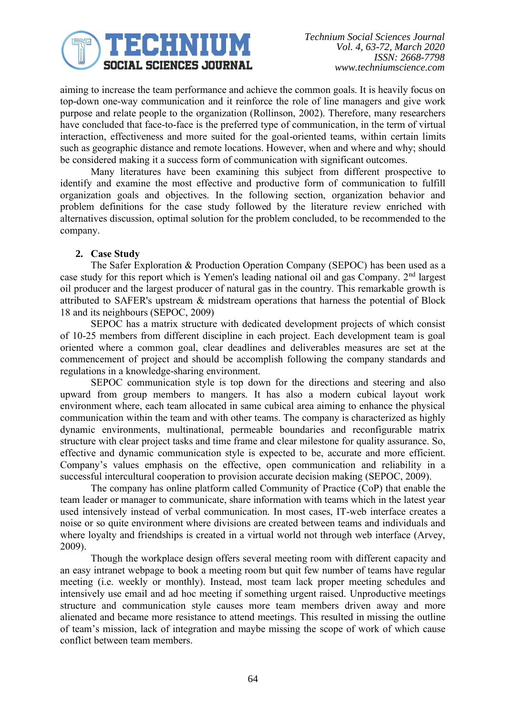

aiming to increase the team performance and achieve the common goals. It is heavily focus on top-down one-way communication and it reinforce the role of line managers and give work purpose and relate people to the organization (Rollinson, 2002). Therefore, many researchers have concluded that face-to-face is the preferred type of communication, in the term of virtual interaction, effectiveness and more suited for the goal-oriented teams, within certain limits such as geographic distance and remote locations. However, when and where and why; should be considered making it a success form of communication with significant outcomes.

Many literatures have been examining this subject from different prospective to identify and examine the most effective and productive form of communication to fulfill organization goals and objectives. In the following section, organization behavior and problem definitions for the case study followed by the literature review enriched with alternatives discussion, optimal solution for the problem concluded, to be recommended to the company.

# **2. Case Study**

The Safer Exploration & Production Operation Company (SEPOC) has been used as a case study for this report which is Yemen's leading national oil and gas Company. 2nd largest oil producer and the largest producer of natural gas in the country. This remarkable growth is attributed to SAFER's upstream & midstream operations that harness the potential of Block 18 and its neighbours (SEPOC, 2009)

SEPOC has a matrix structure with dedicated development projects of which consist of 10-25 members from different discipline in each project. Each development team is goal oriented where a common goal, clear deadlines and deliverables measures are set at the commencement of project and should be accomplish following the company standards and regulations in a knowledge-sharing environment.

SEPOC communication style is top down for the directions and steering and also upward from group members to mangers. It has also a modern cubical layout work environment where, each team allocated in same cubical area aiming to enhance the physical communication within the team and with other teams. The company is characterized as highly dynamic environments, multinational, permeable boundaries and reconfigurable matrix structure with clear project tasks and time frame and clear milestone for quality assurance. So, effective and dynamic communication style is expected to be, accurate and more efficient. Company's values emphasis on the effective, open communication and reliability in a successful intercultural cooperation to provision accurate decision making (SEPOC, 2009).

The company has online platform called Community of Practice (CoP) that enable the team leader or manager to communicate, share information with teams which in the latest year used intensively instead of verbal communication. In most cases, IT-web interface creates a noise or so quite environment where divisions are created between teams and individuals and where loyalty and friendships is created in a virtual world not through web interface (Arvey, 2009).

Though the workplace design offers several meeting room with different capacity and an easy intranet webpage to book a meeting room but quit few number of teams have regular meeting (i.e. weekly or monthly). Instead, most team lack proper meeting schedules and intensively use email and ad hoc meeting if something urgent raised. Unproductive meetings structure and communication style causes more team members driven away and more alienated and became more resistance to attend meetings. This resulted in missing the outline of team's mission, lack of integration and maybe missing the scope of work of which cause conflict between team members.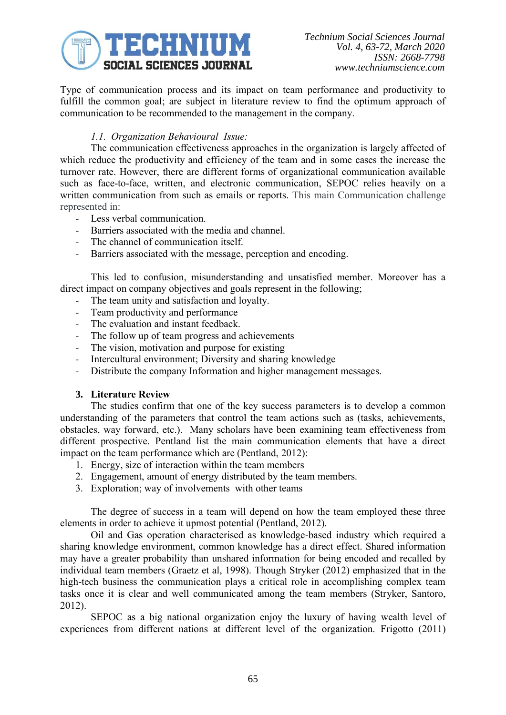

Type of communication process and its impact on team performance and productivity to fulfill the common goal; are subject in literature review to find the optimum approach of communication to be recommended to the management in the company.

# *1.1. Organization Behavioural Issue:*

The communication effectiveness approaches in the organization is largely affected of which reduce the productivity and efficiency of the team and in some cases the increase the turnover rate. However, there are different forms of organizational communication available such as face-to-face, written, and electronic communication, SEPOC relies heavily on a written communication from such as emails or reports. This main Communication challenge represented in:

- Less verbal communication.
- Barriers associated with the media and channel.
- The channel of communication itself.
- Barriers associated with the message, perception and encoding.

This led to confusion, misunderstanding and unsatisfied member. Moreover has a direct impact on company objectives and goals represent in the following;

- The team unity and satisfaction and loyalty.
- Team productivity and performance
- The evaluation and instant feedback.
- The follow up of team progress and achievements
- The vision, motivation and purpose for existing
- Intercultural environment; Diversity and sharing knowledge
- Distribute the company Information and higher management messages.

# **3. Literature Review**

The studies confirm that one of the key success parameters is to develop a common understanding of the parameters that control the team actions such as (tasks, achievements, obstacles, way forward, etc.). Many scholars have been examining team effectiveness from different prospective. Pentland list the main communication elements that have a direct impact on the team performance which are (Pentland, 2012):

- 1. Energy, size of interaction within the team members
- 2. Engagement, amount of energy distributed by the team members.
- 3. Exploration; way of involvements with other teams

The degree of success in a team will depend on how the team employed these three elements in order to achieve it upmost potential (Pentland, 2012).

Oil and Gas operation characterised as knowledge-based industry which required a sharing knowledge environment, common knowledge has a direct effect. Shared information may have a greater probability than unshared information for being encoded and recalled by individual team members (Graetz et al, 1998). Though Stryker (2012) emphasized that in the high-tech business the communication plays a critical role in accomplishing complex team tasks once it is clear and well communicated among the team members (Stryker, Santoro, 2012).

SEPOC as a big national organization enjoy the luxury of having wealth level of experiences from different nations at different level of the organization. Frigotto (2011)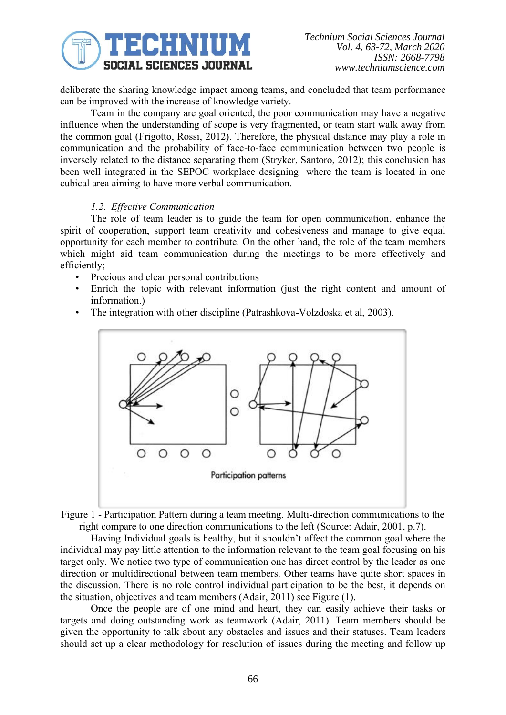

deliberate the sharing knowledge impact among teams, and concluded that team performance can be improved with the increase of knowledge variety.

Team in the company are goal oriented, the poor communication may have a negative influence when the understanding of scope is very fragmented, or team start walk away from the common goal (Frigotto, Rossi, 2012). Therefore, the physical distance may play a role in communication and the probability of face-to-face communication between two people is inversely related to the distance separating them (Stryker, Santoro, 2012); this conclusion has been well integrated in the SEPOC workplace designing where the team is located in one cubical area aiming to have more verbal communication.

#### *1.2. Effective Communication*

The role of team leader is to guide the team for open communication, enhance the spirit of cooperation, support team creativity and cohesiveness and manage to give equal opportunity for each member to contribute. On the other hand, the role of the team members which might aid team communication during the meetings to be more effectively and efficiently;

- Precious and clear personal contributions
- Enrich the topic with relevant information (just the right content and amount of information.)
- The integration with other discipline (Patrashkova-Volzdoska et al, 2003).



Figure 1 - Participation Pattern during a team meeting. Multi-direction communications to the right compare to one direction communications to the left (Source: Adair, 2001, p.7).

Having Individual goals is healthy, but it shouldn't affect the common goal where the individual may pay little attention to the information relevant to the team goal focusing on his target only. We notice two type of communication one has direct control by the leader as one direction or multidirectional between team members. Other teams have quite short spaces in the discussion. There is no role control individual participation to be the best, it depends on the situation, objectives and team members (Adair, 2011) see Figure (1).

Once the people are of one mind and heart, they can easily achieve their tasks or targets and doing outstanding work as teamwork (Adair, 2011). Team members should be given the opportunity to talk about any obstacles and issues and their statuses. Team leaders should set up a clear methodology for resolution of issues during the meeting and follow up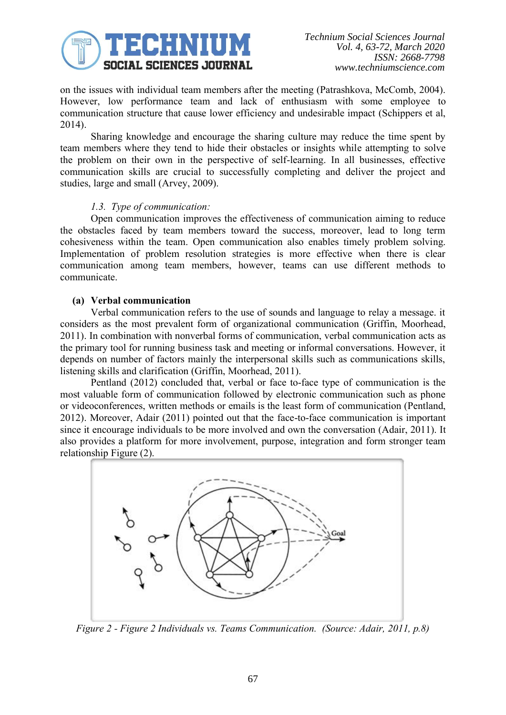

on the issues with individual team members after the meeting (Patrashkova, McComb, 2004). However, low performance team and lack of enthusiasm with some employee to communication structure that cause lower efficiency and undesirable impact (Schippers et al, 2014).

Sharing knowledge and encourage the sharing culture may reduce the time spent by team members where they tend to hide their obstacles or insights while attempting to solve the problem on their own in the perspective of self-learning. In all businesses, effective communication skills are crucial to successfully completing and deliver the project and studies, large and small (Arvey, 2009).

#### *1.3. Type of communication:*

Open communication improves the effectiveness of communication aiming to reduce the obstacles faced by team members toward the success, moreover, lead to long term cohesiveness within the team. Open communication also enables timely problem solving. Implementation of problem resolution strategies is more effective when there is clear communication among team members, however, teams can use different methods to communicate.

# **(a) Verbal communication**

Verbal communication refers to the use of sounds and language to relay a message. it considers as the most prevalent form of organizational communication (Griffin, Moorhead, 2011). In combination with nonverbal forms of communication, verbal communication acts as the primary tool for running business task and meeting or informal conversations. However, it depends on number of factors mainly the interpersonal skills such as communications skills, listening skills and clarification (Griffin, Moorhead, 2011).

Pentland (2012) concluded that, verbal or face to-face type of communication is the most valuable form of communication followed by electronic communication such as phone or videoconferences, written methods or emails is the least form of communication (Pentland, 2012). Moreover, Adair (2011) pointed out that the face-to-face communication is important since it encourage individuals to be more involved and own the conversation (Adair, 2011). It also provides a platform for more involvement, purpose, integration and form stronger team relationship Figure (2).



*Figure 2 - Figure 2 Individuals vs. Teams Communication. (Source: Adair, 2011, p.8)*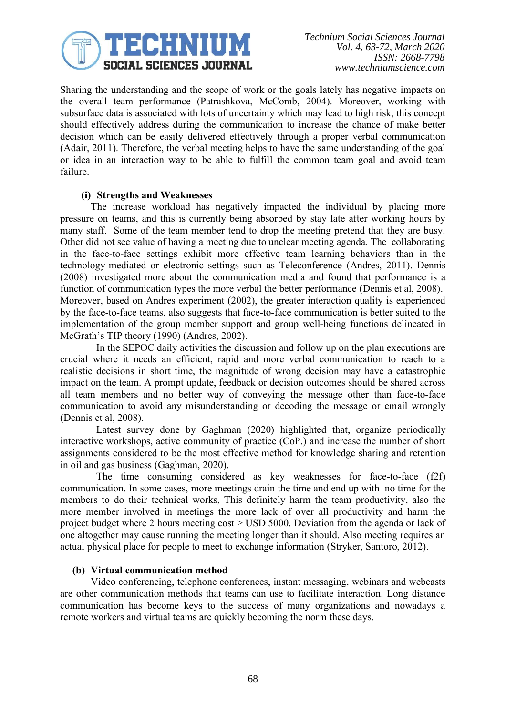

Sharing the understanding and the scope of work or the goals lately has negative impacts on the overall team performance (Patrashkova, McComb, 2004). Moreover, working with subsurface data is associated with lots of uncertainty which may lead to high risk, this concept should effectively address during the communication to increase the chance of make better decision which can be easily delivered effectively through a proper verbal communication (Adair, 2011). Therefore, the verbal meeting helps to have the same understanding of the goal or idea in an interaction way to be able to fulfill the common team goal and avoid team failure.

#### **(i) Strengths and Weaknesses**

The increase workload has negatively impacted the individual by placing more pressure on teams, and this is currently being absorbed by stay late after working hours by many staff. Some of the team member tend to drop the meeting pretend that they are busy. Other did not see value of having a meeting due to unclear meeting agenda. The collaborating in the face-to-face settings exhibit more effective team learning behaviors than in the technology-mediated or electronic settings such as Teleconference (Andres, 2011). Dennis (2008) investigated more about the communication media and found that performance is a function of communication types the more verbal the better performance (Dennis et al, 2008). Moreover, based on Andres experiment (2002), the greater interaction quality is experienced by the face-to-face teams, also suggests that face-to-face communication is better suited to the implementation of the group member support and group well-being functions delineated in McGrath's TIP theory (1990) (Andres, 2002).

In the SEPOC daily activities the discussion and follow up on the plan executions are crucial where it needs an efficient, rapid and more verbal communication to reach to a realistic decisions in short time, the magnitude of wrong decision may have a catastrophic impact on the team. A prompt update, feedback or decision outcomes should be shared across all team members and no better way of conveying the message other than face-to-face communication to avoid any misunderstanding or decoding the message or email wrongly (Dennis et al, 2008).

Latest survey done by Gaghman (2020) highlighted that, organize periodically interactive workshops, active community of practice (CoP.) and increase the number of short assignments considered to be the most effective method for knowledge sharing and retention in oil and gas business (Gaghman, 2020).

The time consuming considered as key weaknesses for face-to-face (f2f) communication. In some cases, more meetings drain the time and end up with no time for the members to do their technical works, This definitely harm the team productivity, also the more member involved in meetings the more lack of over all productivity and harm the project budget where 2 hours meeting cost > USD 5000. Deviation from the agenda or lack of one altogether may cause running the meeting longer than it should. Also meeting requires an actual physical place for people to meet to exchange information (Stryker, Santoro, 2012).

#### **(b) Virtual communication method**

Video conferencing, telephone conferences, instant messaging, webinars and webcasts are other communication methods that teams can use to facilitate interaction. Long distance communication has become keys to the success of many organizations and nowadays a remote workers and virtual teams are quickly becoming the norm these days.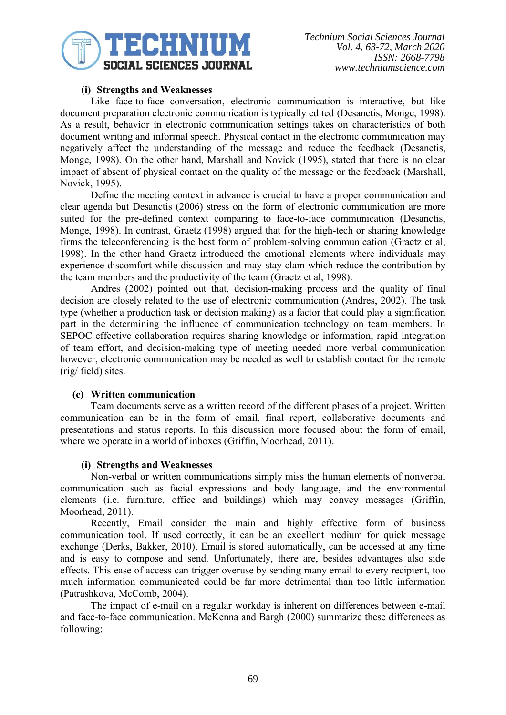

## **(i) Strengths and Weaknesses**

Like face-to-face conversation, electronic communication is interactive, but like document preparation electronic communication is typically edited (Desanctis, Monge, 1998). As a result, behavior in electronic communication settings takes on characteristics of both document writing and informal speech. Physical contact in the electronic communication may negatively affect the understanding of the message and reduce the feedback (Desanctis, Monge, 1998). On the other hand, Marshall and Novick (1995), stated that there is no clear impact of absent of physical contact on the quality of the message or the feedback (Marshall, Novick, 1995).

Define the meeting context in advance is crucial to have a proper communication and clear agenda but Desanctis (2006) stress on the form of electronic communication are more suited for the pre-defined context comparing to face-to-face communication (Desanctis, Monge, 1998). In contrast, Graetz (1998) argued that for the high-tech or sharing knowledge firms the teleconferencing is the best form of problem-solving communication (Graetz et al, 1998). In the other hand Graetz introduced the emotional elements where individuals may experience discomfort while discussion and may stay clam which reduce the contribution by the team members and the productivity of the team (Graetz et al, 1998).

Andres (2002) pointed out that, decision-making process and the quality of final decision are closely related to the use of electronic communication (Andres, 2002). The task type (whether a production task or decision making) as a factor that could play a signification part in the determining the influence of communication technology on team members. In SEPOC effective collaboration requires sharing knowledge or information, rapid integration of team effort, and decision-making type of meeting needed more verbal communication however, electronic communication may be needed as well to establish contact for the remote (rig/ field) sites.

#### **(c) Written communication**

Team documents serve as a written record of the different phases of a project. Written communication can be in the form of email, final report, collaborative documents and presentations and status reports. In this discussion more focused about the form of email, where we operate in a world of inboxes (Griffin, Moorhead, 2011).

#### **(i) Strengths and Weaknesses**

Non-verbal or written communications simply miss the human elements of nonverbal communication such as facial expressions and body language, and the environmental elements (i.e. furniture, office and buildings) which may convey messages (Griffin, Moorhead, 2011).

Recently, Email consider the main and highly effective form of business communication tool. If used correctly, it can be an excellent medium for quick message exchange (Derks, Bakker, 2010). Email is stored automatically, can be accessed at any time and is easy to compose and send. Unfortunately, there are, besides advantages also side effects. This ease of access can trigger overuse by sending many email to every recipient, too much information communicated could be far more detrimental than too little information (Patrashkova, McComb, 2004).

The impact of e-mail on a regular workday is inherent on differences between e-mail and face-to-face communication. McKenna and Bargh (2000) summarize these differences as following: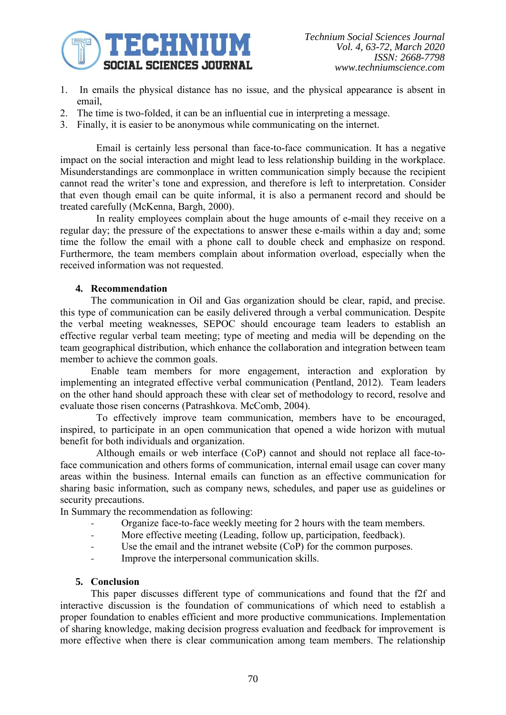

- 1. In emails the physical distance has no issue, and the physical appearance is absent in email,
- 2. The time is two-folded, it can be an influential cue in interpreting a message.
- 3. Finally, it is easier to be anonymous while communicating on the internet.

Email is certainly less personal than face-to-face communication. It has a negative impact on the social interaction and might lead to less relationship building in the workplace. Misunderstandings are commonplace in written communication simply because the recipient cannot read the writer's tone and expression, and therefore is left to interpretation. Consider that even though email can be quite informal, it is also a permanent record and should be treated carefully (McKenna, Bargh, 2000).

In reality employees complain about the huge amounts of e-mail they receive on a regular day; the pressure of the expectations to answer these e-mails within a day and; some time the follow the email with a phone call to double check and emphasize on respond. Furthermore, the team members complain about information overload, especially when the received information was not requested.

# **4. Recommendation**

The communication in Oil and Gas organization should be clear, rapid, and precise. this type of communication can be easily delivered through a verbal communication. Despite the verbal meeting weaknesses, SEPOC should encourage team leaders to establish an effective regular verbal team meeting; type of meeting and media will be depending on the team geographical distribution, which enhance the collaboration and integration between team member to achieve the common goals.

Enable team members for more engagement, interaction and exploration by implementing an integrated effective verbal communication (Pentland, 2012). Team leaders on the other hand should approach these with clear set of methodology to record, resolve and evaluate those risen concerns (Patrashkova. McComb, 2004).

To effectively improve team communication, members have to be encouraged, inspired, to participate in an open communication that opened a wide horizon with mutual benefit for both individuals and organization.

Although emails or web interface (CoP) cannot and should not replace all face-toface communication and others forms of communication, internal email usage can cover many areas within the business. Internal emails can function as an effective communication for sharing basic information, such as company news, schedules, and paper use as guidelines or security precautions.

In Summary the recommendation as following:

- Organize face-to-face weekly meeting for 2 hours with the team members.
- More effective meeting (Leading, follow up, participation, feedback).
- Use the email and the intranet website (CoP) for the common purposes.
- Improve the interpersonal communication skills.

## **5. Conclusion**

This paper discusses different type of communications and found that the f2f and interactive discussion is the foundation of communications of which need to establish a proper foundation to enables efficient and more productive communications. Implementation of sharing knowledge, making decision progress evaluation and feedback for improvement is more effective when there is clear communication among team members. The relationship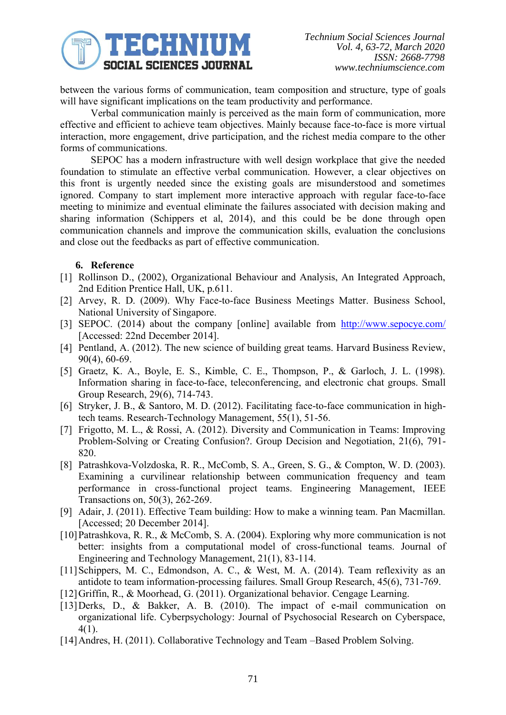

between the various forms of communication, team composition and structure, type of goals will have significant implications on the team productivity and performance.

Verbal communication mainly is perceived as the main form of communication, more effective and efficient to achieve team objectives. Mainly because face-to-face is more virtual interaction, more engagement, drive participation, and the richest media compare to the other forms of communications.

SEPOC has a modern infrastructure with well design workplace that give the needed foundation to stimulate an effective verbal communication. However, a clear objectives on this front is urgently needed since the existing goals are misunderstood and sometimes ignored. Company to start implement more interactive approach with regular face-to-face meeting to minimize and eventual eliminate the failures associated with decision making and sharing information (Schippers et al, 2014), and this could be be done through open communication channels and improve the communication skills, evaluation the conclusions and close out the feedbacks as part of effective communication.

# **6. Reference**

- [1] Rollinson D., (2002), Organizational Behaviour and Analysis, An Integrated Approach, 2nd Edition Prentice Hall, UK, p.611.
- [2] Arvey, R. D. (2009). Why Face-to-face Business Meetings Matter. Business School, National University of Singapore.
- [3] SEPOC. (2014) about the company [online] available from <http://www.sepocye.com/> [Accessed: 22nd December 2014].
- [4] Pentland, A. (2012). The new science of building great teams. Harvard Business Review, 90(4), 60-69.
- [5] Graetz, K. A., Boyle, E. S., Kimble, C. E., Thompson, P., & Garloch, J. L. (1998). Information sharing in face-to-face, teleconferencing, and electronic chat groups. Small Group Research, 29(6), 714-743.
- [6] Stryker, J. B., & Santoro, M. D. (2012). Facilitating face-to-face communication in hightech teams. Research-Technology Management, 55(1), 51-56.
- [7] Frigotto, M. L., & Rossi, A. (2012). Diversity and Communication in Teams: Improving Problem-Solving or Creating Confusion?. Group Decision and Negotiation, 21(6), 791- 820.
- [8] Patrashkova-Volzdoska, R. R., McComb, S. A., Green, S. G., & Compton, W. D. (2003). Examining a curvilinear relationship between communication frequency and team performance in cross-functional project teams. Engineering Management, IEEE Transactions on, 50(3), 262-269.
- [9] Adair, J. (2011). Effective Team building: How to make a winning team. Pan Macmillan. [Accessed; 20 December 2014].
- [10]Patrashkova, R. R., & McComb, S. A. (2004). Exploring why more communication is not better: insights from a computational model of cross-functional teams. Journal of Engineering and Technology Management, 21(1), 83-114.
- [11]Schippers, M. C., Edmondson, A. C., & West, M. A. (2014). Team reflexivity as an antidote to team information-processing failures. Small Group Research, 45(6), 731-769.
- [12]Griffin, R., & Moorhead, G. (2011). Organizational behavior. Cengage Learning.
- [13]Derks, D., & Bakker, A. B. (2010). The impact of e-mail communication on organizational life. Cyberpsychology: Journal of Psychosocial Research on Cyberspace, 4(1).
- [14] Andres, H. (2011). Collaborative Technology and Team –Based Problem Solving.